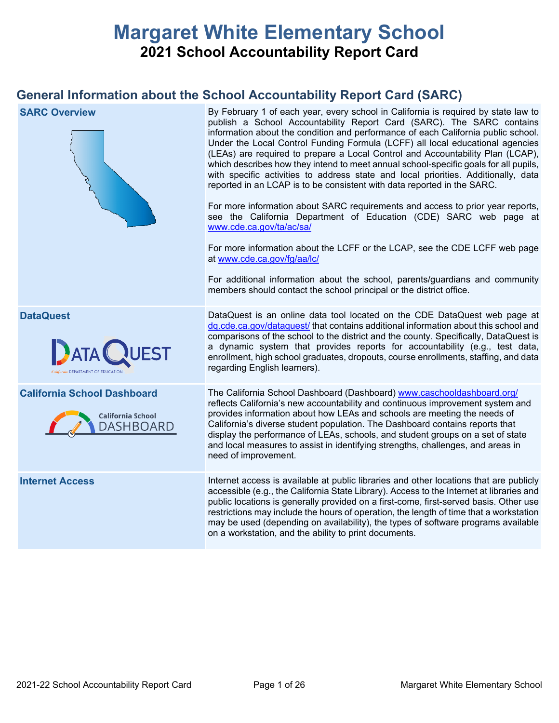# **Margaret White Elementary School 2021 School Accountability Report Card**

## **General Information about the School Accountability Report Card (SARC)**

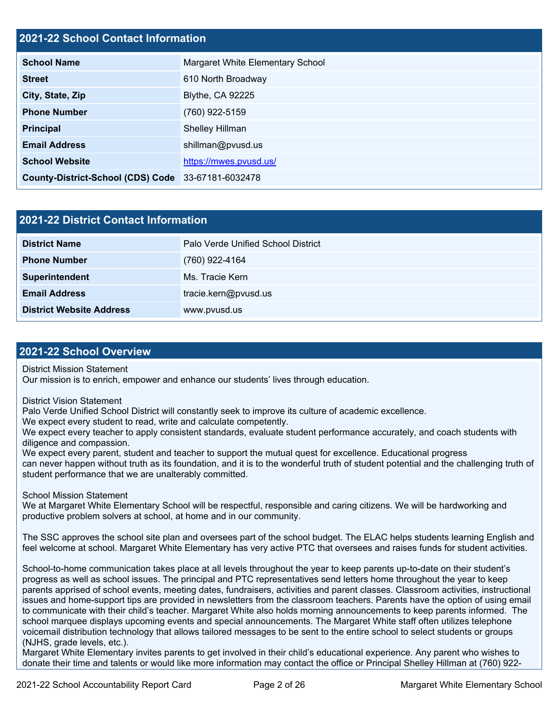## **2021-22 School Contact Information**

| <b>School Name</b>                                 | Margaret White Elementary School |  |  |  |
|----------------------------------------------------|----------------------------------|--|--|--|
| <b>Street</b>                                      | 610 North Broadway               |  |  |  |
| City, State, Zip                                   | <b>Blythe, CA 92225</b>          |  |  |  |
| <b>Phone Number</b>                                | (760) 922-5159                   |  |  |  |
| Principal                                          | Shelley Hillman                  |  |  |  |
| <b>Email Address</b>                               | shillman@pvusd.us                |  |  |  |
| <b>School Website</b>                              | https://mwes.pvusd.us/           |  |  |  |
| County-District-School (CDS) Code 33-67181-6032478 |                                  |  |  |  |

| <b>2021-22 District Contact Information</b> |                                    |  |  |  |
|---------------------------------------------|------------------------------------|--|--|--|
| <b>District Name</b>                        | Palo Verde Unified School District |  |  |  |
| <b>Phone Number</b>                         | (760) 922-4164                     |  |  |  |
| Superintendent                              | Ms. Tracie Kern                    |  |  |  |
| <b>Email Address</b>                        | tracie.kern@pvusd.us               |  |  |  |
| <b>District Website Address</b>             | www.pvusd.us                       |  |  |  |

### **2021-22 School Overview**

District Mission Statement

Our mission is to enrich, empower and enhance our students' lives through education.

District Vision Statement

Palo Verde Unified School District will constantly seek to improve its culture of academic excellence.

We expect every student to read, write and calculate competently.

We expect every teacher to apply consistent standards, evaluate student performance accurately, and coach students with diligence and compassion.

We expect every parent, student and teacher to support the mutual quest for excellence. Educational progress can never happen without truth as its foundation, and it is to the wonderful truth of student potential and the challenging truth of student performance that we are unalterably committed.

School Mission Statement

We at Margaret White Elementary School will be respectful, responsible and caring citizens. We will be hardworking and productive problem solvers at school, at home and in our community.

The SSC approves the school site plan and oversees part of the school budget. The ELAC helps students learning English and feel welcome at school. Margaret White Elementary has very active PTC that oversees and raises funds for student activities.

School-to-home communication takes place at all levels throughout the year to keep parents up-to-date on their student's progress as well as school issues. The principal and PTC representatives send letters home throughout the year to keep parents apprised of school events, meeting dates, fundraisers, activities and parent classes. Classroom activities, instructional issues and home-support tips are provided in newsletters from the classroom teachers. Parents have the option of using email to communicate with their child's teacher. Margaret White also holds morning announcements to keep parents informed. The school marquee displays upcoming events and special announcements. The Margaret White staff often utilizes telephone voicemail distribution technology that allows tailored messages to be sent to the entire school to select students or groups (NJHS, grade levels, etc.).

Margaret White Elementary invites parents to get involved in their child's educational experience. Any parent who wishes to donate their time and talents or would like more information may contact the office or Principal Shelley Hillman at (760) 922-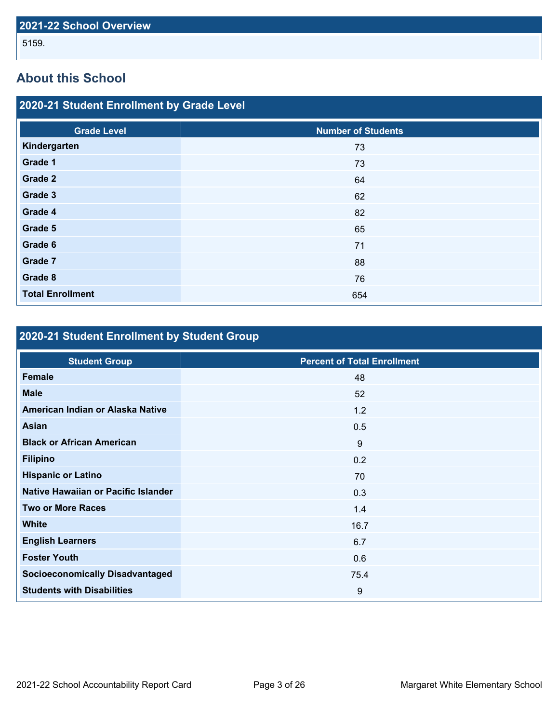## **About this School**

| 2020-21 Student Enrollment by Grade Level |                           |  |  |  |  |
|-------------------------------------------|---------------------------|--|--|--|--|
| <b>Grade Level</b>                        | <b>Number of Students</b> |  |  |  |  |
| Kindergarten                              | 73                        |  |  |  |  |
| Grade 1                                   | 73                        |  |  |  |  |
| <b>Grade 2</b>                            | 64                        |  |  |  |  |
| Grade 3                                   | 62                        |  |  |  |  |
| Grade 4                                   | 82                        |  |  |  |  |
| Grade 5                                   | 65                        |  |  |  |  |
| Grade 6                                   | 71                        |  |  |  |  |
| <b>Grade 7</b>                            | 88                        |  |  |  |  |
| Grade 8                                   | 76                        |  |  |  |  |
| <b>Total Enrollment</b>                   | 654                       |  |  |  |  |

## **2020-21 Student Enrollment by Student Group**

| <b>Student Group</b>                   | <b>Percent of Total Enrollment</b> |
|----------------------------------------|------------------------------------|
| <b>Female</b>                          | 48                                 |
| <b>Male</b>                            | 52                                 |
| American Indian or Alaska Native       | 1.2                                |
| Asian                                  | 0.5                                |
| <b>Black or African American</b>       | 9                                  |
| <b>Filipino</b>                        | 0.2                                |
| <b>Hispanic or Latino</b>              | 70                                 |
| Native Hawaiian or Pacific Islander    | 0.3                                |
| <b>Two or More Races</b>               | 1.4                                |
| <b>White</b>                           | 16.7                               |
| <b>English Learners</b>                | 6.7                                |
| <b>Foster Youth</b>                    | 0.6                                |
| <b>Socioeconomically Disadvantaged</b> | 75.4                               |
| <b>Students with Disabilities</b>      | 9                                  |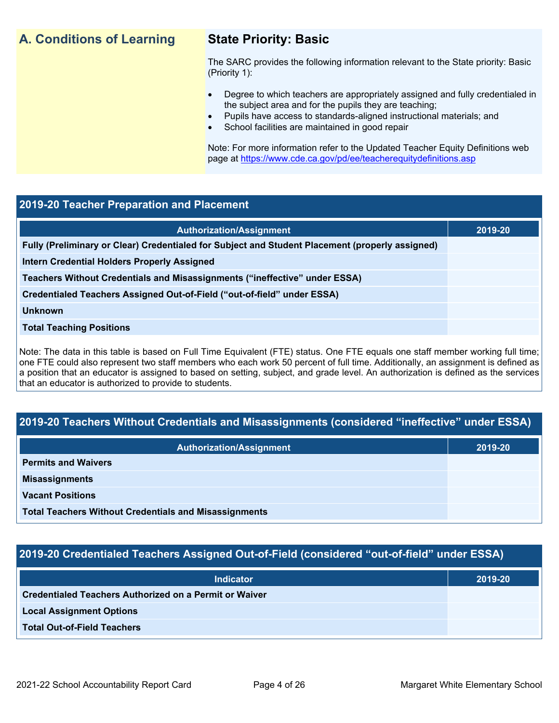## **A. Conditions of Learning State Priority: Basic**

The SARC provides the following information relevant to the State priority: Basic (Priority 1):

- Degree to which teachers are appropriately assigned and fully credentialed in the subject area and for the pupils they are teaching;
	- Pupils have access to standards-aligned instructional materials; and
- School facilities are maintained in good repair

Note: For more information refer to the Updated Teacher Equity Definitions web page at <https://www.cde.ca.gov/pd/ee/teacherequitydefinitions.asp>

## **2019-20 Teacher Preparation and Placement**

| 2019-20 |
|---------|
|         |
|         |
|         |
|         |
|         |
|         |
|         |

Note: The data in this table is based on Full Time Equivalent (FTE) status. One FTE equals one staff member working full time; one FTE could also represent two staff members who each work 50 percent of full time. Additionally, an assignment is defined as a position that an educator is assigned to based on setting, subject, and grade level. An authorization is defined as the services that an educator is authorized to provide to students.

## **2019-20 Teachers Without Credentials and Misassignments (considered "ineffective" under ESSA)**

| <b>Authorization/Assignment</b>                              | 2019-20 |  |
|--------------------------------------------------------------|---------|--|
| <b>Permits and Waivers</b>                                   |         |  |
| <b>Misassignments</b>                                        |         |  |
| <b>Vacant Positions</b>                                      |         |  |
| <b>Total Teachers Without Credentials and Misassignments</b> |         |  |

## **2019-20 Credentialed Teachers Assigned Out-of-Field (considered "out-of-field" under ESSA)**

| <b>Indicator</b>                                       | 2019-20 |
|--------------------------------------------------------|---------|
| Credentialed Teachers Authorized on a Permit or Waiver |         |
| <b>Local Assignment Options</b>                        |         |
| <b>Total Out-of-Field Teachers</b>                     |         |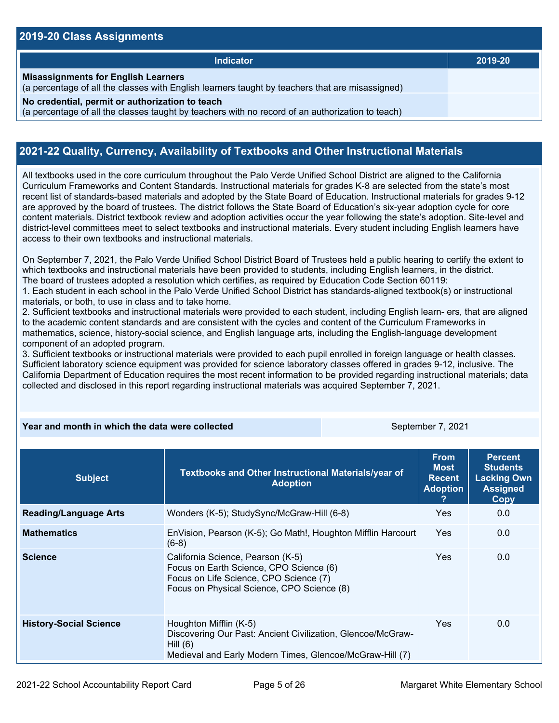### **2019-20 Class Assignments**

| 2019-20 |
|---------|
|         |
|         |
|         |

## **2021-22 Quality, Currency, Availability of Textbooks and Other Instructional Materials**

All textbooks used in the core curriculum throughout the Palo Verde Unified School District are aligned to the California Curriculum Frameworks and Content Standards. Instructional materials for grades K-8 are selected from the state's most recent list of standards-based materials and adopted by the State Board of Education. Instructional materials for grades 9-12 are approved by the board of trustees. The district follows the State Board of Education's six-year adoption cycle for core content materials. District textbook review and adoption activities occur the year following the state's adoption. Site-level and district-level committees meet to select textbooks and instructional materials. Every student including English learners have access to their own textbooks and instructional materials.

On September 7, 2021, the Palo Verde Unified School District Board of Trustees held a public hearing to certify the extent to which textbooks and instructional materials have been provided to students, including English learners, in the district. The board of trustees adopted a resolution which certifies, as required by Education Code Section 60119:

1. Each student in each school in the Palo Verde Unified School District has standards-aligned textbook(s) or instructional materials, or both, to use in class and to take home.

2. Sufficient textbooks and instructional materials were provided to each student, including English learn- ers, that are aligned to the academic content standards and are consistent with the cycles and content of the Curriculum Frameworks in mathematics, science, history-social science, and English language arts, including the English-language development component of an adopted program.

3. Sufficient textbooks or instructional materials were provided to each pupil enrolled in foreign language or health classes. Sufficient laboratory science equipment was provided for science laboratory classes offered in grades 9-12, inclusive. The California Department of Education requires the most recent information to be provided regarding instructional materials; data collected and disclosed in this report regarding instructional materials was acquired September 7, 2021.

### **Year and month in which the data were collected** September 7, 2021

| <b>Subject</b>                | Textbooks and Other Instructional Materials/year of<br><b>Adoption</b>                                                                                               | <b>From</b><br><b>Most</b><br><b>Recent</b><br><b>Adoption</b> | <b>Percent</b><br><b>Students</b><br><b>Lacking Own</b><br><b>Assigned</b><br>Copy |
|-------------------------------|----------------------------------------------------------------------------------------------------------------------------------------------------------------------|----------------------------------------------------------------|------------------------------------------------------------------------------------|
| <b>Reading/Language Arts</b>  | Wonders (K-5); StudySync/McGraw-Hill (6-8)                                                                                                                           | Yes                                                            | 0.0                                                                                |
| <b>Mathematics</b>            | EnVision, Pearson (K-5); Go Math!, Houghton Mifflin Harcourt<br>$(6-8)$                                                                                              | <b>Yes</b>                                                     | 0.0                                                                                |
| <b>Science</b>                | California Science, Pearson (K-5)<br>Focus on Earth Science, CPO Science (6)<br>Focus on Life Science, CPO Science (7)<br>Focus on Physical Science, CPO Science (8) | <b>Yes</b>                                                     | 0.0                                                                                |
| <b>History-Social Science</b> | Houghton Mifflin (K-5)<br>Discovering Our Past: Ancient Civilization, Glencoe/McGraw-<br>Hill $(6)$<br>Medieval and Early Modern Times, Glencoe/McGraw-Hill (7)      | <b>Yes</b>                                                     | 0.0                                                                                |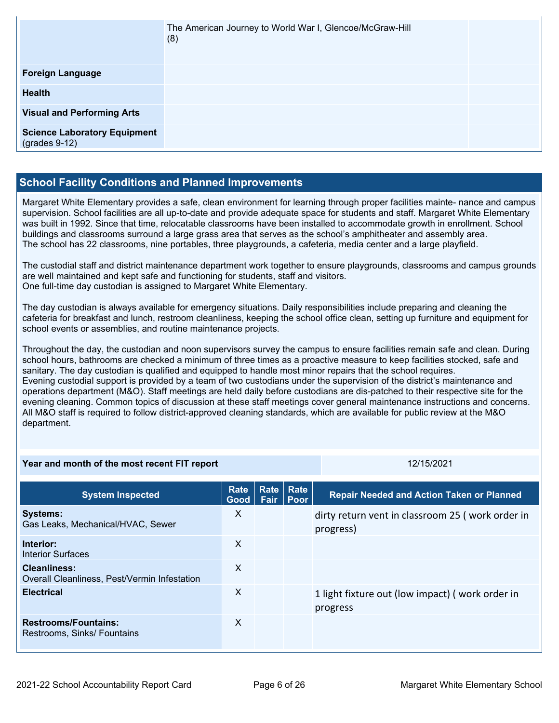|                                                        | The American Journey to World War I, Glencoe/McGraw-Hill<br>(8) |  |
|--------------------------------------------------------|-----------------------------------------------------------------|--|
| <b>Foreign Language</b>                                |                                                                 |  |
| <b>Health</b>                                          |                                                                 |  |
| <b>Visual and Performing Arts</b>                      |                                                                 |  |
| <b>Science Laboratory Equipment</b><br>$(grades 9-12)$ |                                                                 |  |

## **School Facility Conditions and Planned Improvements**

Margaret White Elementary provides a safe, clean environment for learning through proper facilities mainte- nance and campus supervision. School facilities are all up-to-date and provide adequate space for students and staff. Margaret White Elementary was built in 1992. Since that time, relocatable classrooms have been installed to accommodate growth in enrollment. School buildings and classrooms surround a large grass area that serves as the school's amphitheater and assembly area. The school has 22 classrooms, nine portables, three playgrounds, a cafeteria, media center and a large playfield.

The custodial staff and district maintenance department work together to ensure playgrounds, classrooms and campus grounds are well maintained and kept safe and functioning for students, staff and visitors. One full-time day custodian is assigned to Margaret White Elementary.

The day custodian is always available for emergency situations. Daily responsibilities include preparing and cleaning the cafeteria for breakfast and lunch, restroom cleanliness, keeping the school office clean, setting up furniture and equipment for school events or assemblies, and routine maintenance projects.

Throughout the day, the custodian and noon supervisors survey the campus to ensure facilities remain safe and clean. During school hours, bathrooms are checked a minimum of three times as a proactive measure to keep facilities stocked, safe and sanitary. The day custodian is qualified and equipped to handle most minor repairs that the school requires. Evening custodial support is provided by a team of two custodians under the supervision of the district's maintenance and operations department (M&O). Staff meetings are held daily before custodians are dis-patched to their respective site for the evening cleaning. Common topics of discussion at these staff meetings cover general maintenance instructions and concerns. All M&O staff is required to follow district-approved cleaning standards, which are available for public review at the M&O department.

| Year and month of the most recent FIT report                        |                            |               | 12/15/2021     |                                                               |
|---------------------------------------------------------------------|----------------------------|---------------|----------------|---------------------------------------------------------------|
| <b>System Inspected</b>                                             | <b>Rate</b><br><b>Good</b> | Rate <br>Fair | Rate<br>l Poor | <b>Repair Needed and Action Taken or Planned</b>              |
| <b>Systems:</b><br>Gas Leaks, Mechanical/HVAC, Sewer                | $\times$                   |               |                | dirty return vent in classroom 25 (work order in<br>progress) |
| Interior:<br>Interior Surfaces                                      | $\times$                   |               |                |                                                               |
| <b>Cleanliness:</b><br>Overall Cleanliness, Pest/Vermin Infestation | $\boldsymbol{\mathsf{X}}$  |               |                |                                                               |
| <b>Electrical</b>                                                   | $\times$                   |               |                | 1 light fixture out (low impact) (work order in<br>progress   |
| <b>Restrooms/Fountains:</b><br>Restrooms, Sinks/ Fountains          | $\times$                   |               |                |                                                               |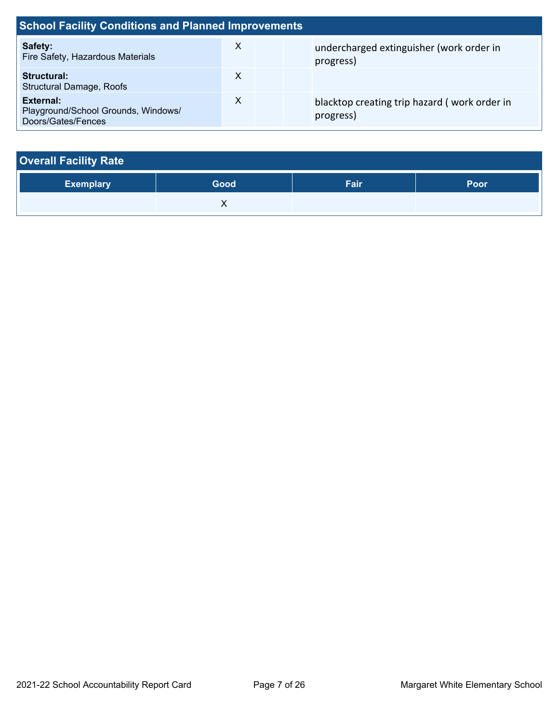| <b>School Facility Conditions and Planned Improvements</b>             |   |  |                                                           |  |  |
|------------------------------------------------------------------------|---|--|-----------------------------------------------------------|--|--|
| Safety:<br>Fire Safety, Hazardous Materials                            | X |  | undercharged extinguisher (work order in<br>progress)     |  |  |
| Structural:<br><b>Structural Damage, Roofs</b>                         | х |  |                                                           |  |  |
| External:<br>Playground/School Grounds, Windows/<br>Doors/Gates/Fences | X |  | blacktop creating trip hazard (work order in<br>progress) |  |  |

| <b>Overall Facility Rate</b> |      |      |      |  |  |  |  |  |
|------------------------------|------|------|------|--|--|--|--|--|
| <b>Exemplary</b>             | Good | Fair | Poor |  |  |  |  |  |
|                              |      |      |      |  |  |  |  |  |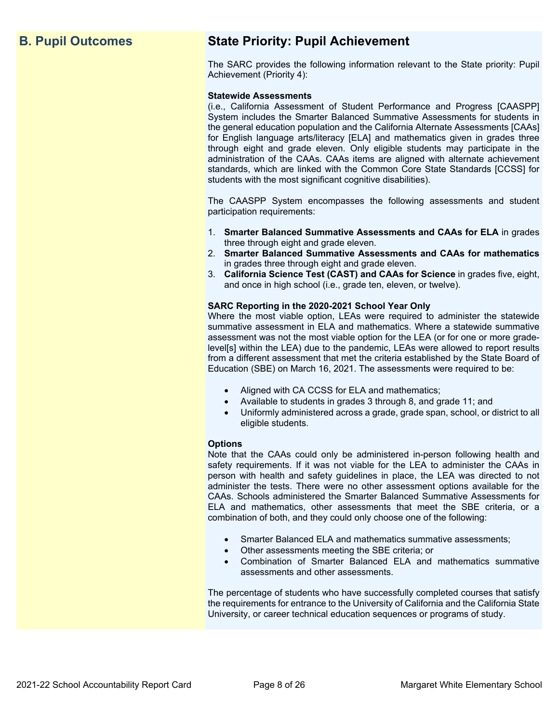## **B. Pupil Outcomes State Priority: Pupil Achievement**

The SARC provides the following information relevant to the State priority: Pupil Achievement (Priority 4):

### **Statewide Assessments**

(i.e., California Assessment of Student Performance and Progress [CAASPP] System includes the Smarter Balanced Summative Assessments for students in the general education population and the California Alternate Assessments [CAAs] for English language arts/literacy [ELA] and mathematics given in grades three through eight and grade eleven. Only eligible students may participate in the administration of the CAAs. CAAs items are aligned with alternate achievement standards, which are linked with the Common Core State Standards [CCSS] for students with the most significant cognitive disabilities).

The CAASPP System encompasses the following assessments and student participation requirements:

- 1. **Smarter Balanced Summative Assessments and CAAs for ELA** in grades three through eight and grade eleven.
- 2. **Smarter Balanced Summative Assessments and CAAs for mathematics** in grades three through eight and grade eleven.
- 3. **California Science Test (CAST) and CAAs for Science** in grades five, eight, and once in high school (i.e., grade ten, eleven, or twelve).

### **SARC Reporting in the 2020-2021 School Year Only**

Where the most viable option, LEAs were required to administer the statewide summative assessment in ELA and mathematics. Where a statewide summative assessment was not the most viable option for the LEA (or for one or more gradelevel[s] within the LEA) due to the pandemic, LEAs were allowed to report results from a different assessment that met the criteria established by the State Board of Education (SBE) on March 16, 2021. The assessments were required to be:

- Aligned with CA CCSS for ELA and mathematics;
- Available to students in grades 3 through 8, and grade 11; and
- Uniformly administered across a grade, grade span, school, or district to all eligible students.

### **Options**

Note that the CAAs could only be administered in-person following health and safety requirements. If it was not viable for the LEA to administer the CAAs in person with health and safety guidelines in place, the LEA was directed to not administer the tests. There were no other assessment options available for the CAAs. Schools administered the Smarter Balanced Summative Assessments for ELA and mathematics, other assessments that meet the SBE criteria, or a combination of both, and they could only choose one of the following:

- Smarter Balanced ELA and mathematics summative assessments;
- Other assessments meeting the SBE criteria; or
- Combination of Smarter Balanced ELA and mathematics summative assessments and other assessments.

The percentage of students who have successfully completed courses that satisfy the requirements for entrance to the University of California and the California State University, or career technical education sequences or programs of study.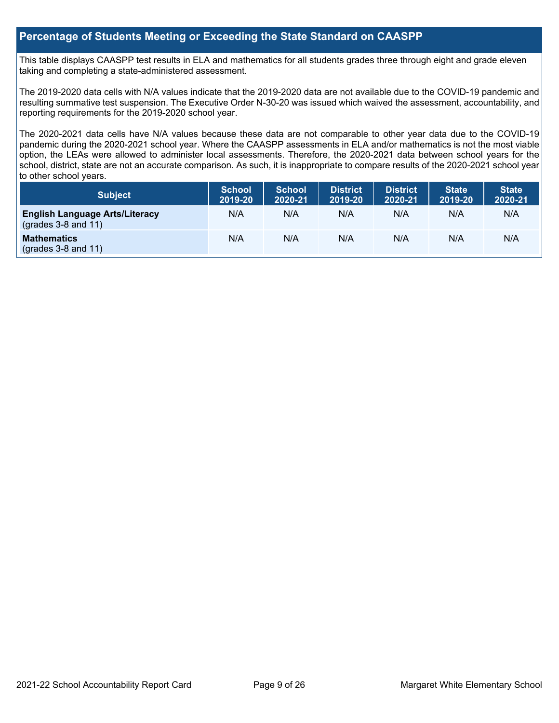## **Percentage of Students Meeting or Exceeding the State Standard on CAASPP**

This table displays CAASPP test results in ELA and mathematics for all students grades three through eight and grade eleven taking and completing a state-administered assessment.

The 2019-2020 data cells with N/A values indicate that the 2019-2020 data are not available due to the COVID-19 pandemic and resulting summative test suspension. The Executive Order N-30-20 was issued which waived the assessment, accountability, and reporting requirements for the 2019-2020 school year.

The 2020-2021 data cells have N/A values because these data are not comparable to other year data due to the COVID-19 pandemic during the 2020-2021 school year. Where the CAASPP assessments in ELA and/or mathematics is not the most viable option, the LEAs were allowed to administer local assessments. Therefore, the 2020-2021 data between school years for the school, district, state are not an accurate comparison. As such, it is inappropriate to compare results of the 2020-2021 school year to other school years.

| Subject                                                              | <b>School</b><br>2019-20 | <b>School</b><br>2020-21 | <b>District</b><br>2019-20 | <b>District</b><br>2020-21 | <b>State</b><br>2019-20 | <b>State</b><br>2020-21 |
|----------------------------------------------------------------------|--------------------------|--------------------------|----------------------------|----------------------------|-------------------------|-------------------------|
| <b>English Language Arts/Literacy</b><br>$\left($ grades 3-8 and 11) | N/A                      | N/A                      | N/A                        | N/A                        | N/A                     | N/A                     |
| <b>Mathematics</b><br>$(grades 3-8 and 11)$                          | N/A                      | N/A                      | N/A                        | N/A                        | N/A                     | N/A                     |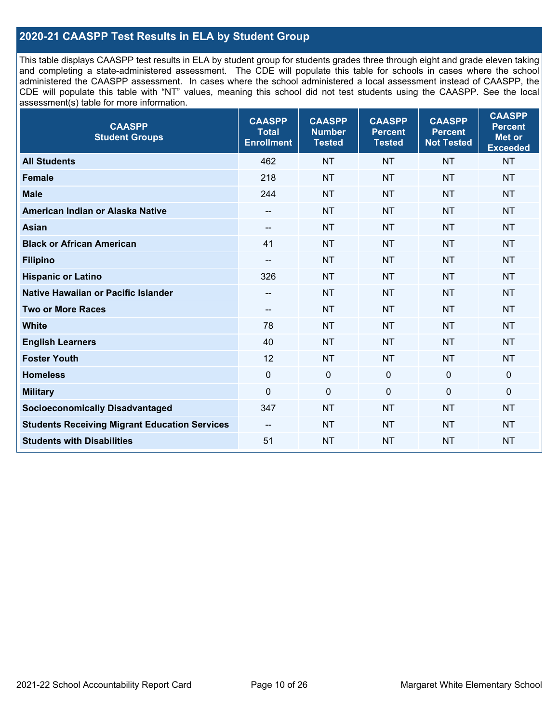## **2020-21 CAASPP Test Results in ELA by Student Group**

This table displays CAASPP test results in ELA by student group for students grades three through eight and grade eleven taking and completing a state-administered assessment. The CDE will populate this table for schools in cases where the school administered the CAASPP assessment. In cases where the school administered a local assessment instead of CAASPP, the CDE will populate this table with "NT" values, meaning this school did not test students using the CAASPP. See the local assessment(s) table for more information.

| <b>CAASPP</b><br><b>Student Groups</b>               | <b>CAASPP</b><br><b>Total</b><br><b>Enrollment</b> | <b>CAASPP</b><br><b>Number</b><br><b>Tested</b> | <b>CAASPP</b><br><b>Percent</b><br><b>Tested</b> | <b>CAASPP</b><br><b>Percent</b><br><b>Not Tested</b> | <b>CAASPP</b><br><b>Percent</b><br><b>Met or</b><br><b>Exceeded</b> |
|------------------------------------------------------|----------------------------------------------------|-------------------------------------------------|--------------------------------------------------|------------------------------------------------------|---------------------------------------------------------------------|
| <b>All Students</b>                                  | 462                                                | <b>NT</b>                                       | <b>NT</b>                                        | <b>NT</b>                                            | <b>NT</b>                                                           |
| <b>Female</b>                                        | 218                                                | <b>NT</b>                                       | <b>NT</b>                                        | <b>NT</b>                                            | <b>NT</b>                                                           |
| <b>Male</b>                                          | 244                                                | <b>NT</b>                                       | <b>NT</b>                                        | <b>NT</b>                                            | <b>NT</b>                                                           |
| American Indian or Alaska Native                     | $-\!$                                              | <b>NT</b>                                       | <b>NT</b>                                        | <b>NT</b>                                            | <b>NT</b>                                                           |
| <b>Asian</b>                                         |                                                    | <b>NT</b>                                       | <b>NT</b>                                        | <b>NT</b>                                            | <b>NT</b>                                                           |
| <b>Black or African American</b>                     | 41                                                 | <b>NT</b>                                       | <b>NT</b>                                        | <b>NT</b>                                            | <b>NT</b>                                                           |
| <b>Filipino</b>                                      | $-\!$ $-$                                          | <b>NT</b>                                       | <b>NT</b>                                        | <b>NT</b>                                            | <b>NT</b>                                                           |
| <b>Hispanic or Latino</b>                            | 326                                                | <b>NT</b>                                       | <b>NT</b>                                        | <b>NT</b>                                            | <b>NT</b>                                                           |
| <b>Native Hawaiian or Pacific Islander</b>           | $-\!$                                              | <b>NT</b>                                       | <b>NT</b>                                        | <b>NT</b>                                            | <b>NT</b>                                                           |
| <b>Two or More Races</b>                             | $-\!$                                              | <b>NT</b>                                       | <b>NT</b>                                        | <b>NT</b>                                            | <b>NT</b>                                                           |
| <b>White</b>                                         | 78                                                 | <b>NT</b>                                       | <b>NT</b>                                        | <b>NT</b>                                            | <b>NT</b>                                                           |
| <b>English Learners</b>                              | 40                                                 | <b>NT</b>                                       | <b>NT</b>                                        | <b>NT</b>                                            | <b>NT</b>                                                           |
| <b>Foster Youth</b>                                  | 12                                                 | <b>NT</b>                                       | <b>NT</b>                                        | <b>NT</b>                                            | <b>NT</b>                                                           |
| <b>Homeless</b>                                      | $\mathbf 0$                                        | $\mathbf 0$                                     | $\mathbf 0$                                      | $\mathbf 0$                                          | 0                                                                   |
| <b>Military</b>                                      | $\mathbf 0$                                        | $\pmb{0}$                                       | $\mathbf 0$                                      | $\mathbf 0$                                          | $\mathbf 0$                                                         |
| <b>Socioeconomically Disadvantaged</b>               | 347                                                | <b>NT</b>                                       | <b>NT</b>                                        | <b>NT</b>                                            | <b>NT</b>                                                           |
| <b>Students Receiving Migrant Education Services</b> | $\overline{\phantom{a}}$                           | <b>NT</b>                                       | <b>NT</b>                                        | <b>NT</b>                                            | <b>NT</b>                                                           |
| <b>Students with Disabilities</b>                    | 51                                                 | <b>NT</b>                                       | <b>NT</b>                                        | <b>NT</b>                                            | <b>NT</b>                                                           |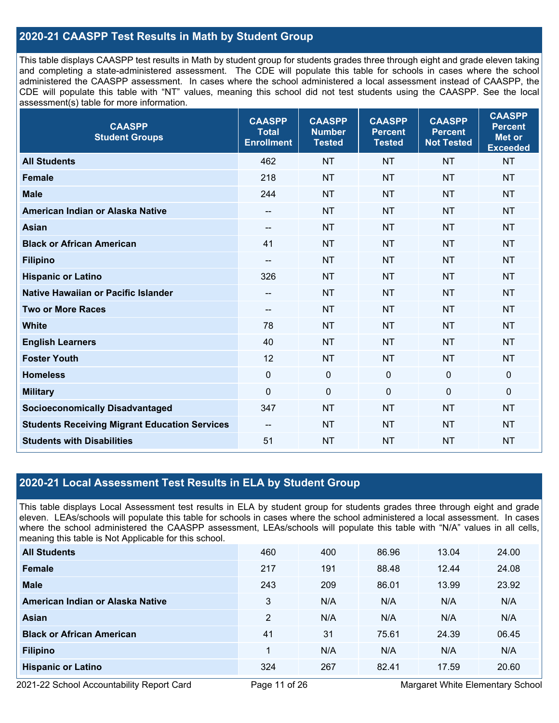## **2020-21 CAASPP Test Results in Math by Student Group**

This table displays CAASPP test results in Math by student group for students grades three through eight and grade eleven taking and completing a state-administered assessment. The CDE will populate this table for schools in cases where the school administered the CAASPP assessment. In cases where the school administered a local assessment instead of CAASPP, the CDE will populate this table with "NT" values, meaning this school did not test students using the CAASPP. See the local assessment(s) table for more information.

| <b>CAASPP</b><br><b>Student Groups</b>               | <b>CAASPP</b><br><b>Total</b><br><b>Enrollment</b> | <b>CAASPP</b><br><b>Number</b><br><b>Tested</b> | <b>CAASPP</b><br><b>Percent</b><br><b>Tested</b> | <b>CAASPP</b><br><b>Percent</b><br><b>Not Tested</b> | <b>CAASPP</b><br><b>Percent</b><br><b>Met or</b><br><b>Exceeded</b> |
|------------------------------------------------------|----------------------------------------------------|-------------------------------------------------|--------------------------------------------------|------------------------------------------------------|---------------------------------------------------------------------|
| <b>All Students</b>                                  | 462                                                | <b>NT</b>                                       | <b>NT</b>                                        | <b>NT</b>                                            | <b>NT</b>                                                           |
| <b>Female</b>                                        | 218                                                | <b>NT</b>                                       | <b>NT</b>                                        | <b>NT</b>                                            | <b>NT</b>                                                           |
| <b>Male</b>                                          | 244                                                | <b>NT</b>                                       | <b>NT</b>                                        | <b>NT</b>                                            | <b>NT</b>                                                           |
| American Indian or Alaska Native                     | $\hspace{0.05cm}$                                  | <b>NT</b>                                       | <b>NT</b>                                        | <b>NT</b>                                            | <b>NT</b>                                                           |
| <b>Asian</b>                                         |                                                    | <b>NT</b>                                       | <b>NT</b>                                        | <b>NT</b>                                            | <b>NT</b>                                                           |
| <b>Black or African American</b>                     | 41                                                 | <b>NT</b>                                       | <b>NT</b>                                        | <b>NT</b>                                            | <b>NT</b>                                                           |
| <b>Filipino</b>                                      | $\overline{\phantom{m}}$                           | <b>NT</b>                                       | <b>NT</b>                                        | <b>NT</b>                                            | <b>NT</b>                                                           |
| <b>Hispanic or Latino</b>                            | 326                                                | <b>NT</b>                                       | <b>NT</b>                                        | <b>NT</b>                                            | <b>NT</b>                                                           |
| <b>Native Hawaiian or Pacific Islander</b>           | $-\!$ $\!-$                                        | <b>NT</b>                                       | <b>NT</b>                                        | <b>NT</b>                                            | <b>NT</b>                                                           |
| <b>Two or More Races</b>                             | $- -$                                              | <b>NT</b>                                       | <b>NT</b>                                        | <b>NT</b>                                            | <b>NT</b>                                                           |
| <b>White</b>                                         | 78                                                 | <b>NT</b>                                       | <b>NT</b>                                        | <b>NT</b>                                            | <b>NT</b>                                                           |
| <b>English Learners</b>                              | 40                                                 | <b>NT</b>                                       | <b>NT</b>                                        | <b>NT</b>                                            | <b>NT</b>                                                           |
| <b>Foster Youth</b>                                  | 12                                                 | <b>NT</b>                                       | <b>NT</b>                                        | <b>NT</b>                                            | <b>NT</b>                                                           |
| <b>Homeless</b>                                      | $\mathbf 0$                                        | $\mathbf 0$                                     | $\mathbf 0$                                      | $\mathbf 0$                                          | $\mathbf 0$                                                         |
| <b>Military</b>                                      | $\mathbf 0$                                        | $\pmb{0}$                                       | $\mathbf 0$                                      | 0                                                    | $\pmb{0}$                                                           |
| <b>Socioeconomically Disadvantaged</b>               | 347                                                | <b>NT</b>                                       | <b>NT</b>                                        | <b>NT</b>                                            | <b>NT</b>                                                           |
| <b>Students Receiving Migrant Education Services</b> | $- -$                                              | <b>NT</b>                                       | <b>NT</b>                                        | <b>NT</b>                                            | <b>NT</b>                                                           |
| <b>Students with Disabilities</b>                    | 51                                                 | <b>NT</b>                                       | <b>NT</b>                                        | <b>NT</b>                                            | <b>NT</b>                                                           |

## **2020-21 Local Assessment Test Results in ELA by Student Group**

This table displays Local Assessment test results in ELA by student group for students grades three through eight and grade eleven. LEAs/schools will populate this table for schools in cases where the school administered a local assessment. In cases where the school administered the CAASPP assessment, LEAs/schools will populate this table with "N/A" values in all cells, meaning this table is Not Applicable for this school.

| <b>All Students</b>              | 460 | 400 | 86.96 | 13.04 | 24.00 |
|----------------------------------|-----|-----|-------|-------|-------|
| Female                           | 217 | 191 | 88.48 | 12.44 | 24.08 |
| <b>Male</b>                      | 243 | 209 | 86.01 | 13.99 | 23.92 |
| American Indian or Alaska Native | 3   | N/A | N/A   | N/A   | N/A   |
| Asian                            | 2   | N/A | N/A   | N/A   | N/A   |
| <b>Black or African American</b> | 41  | 31  | 75.61 | 24.39 | 06.45 |
| <b>Filipino</b>                  | 1   | N/A | N/A   | N/A   | N/A   |
| <b>Hispanic or Latino</b>        | 324 | 267 | 82.41 | 17.59 | 20.60 |

2021-22 School Accountability Report Card Page 11 of 26 Margaret White Elementary School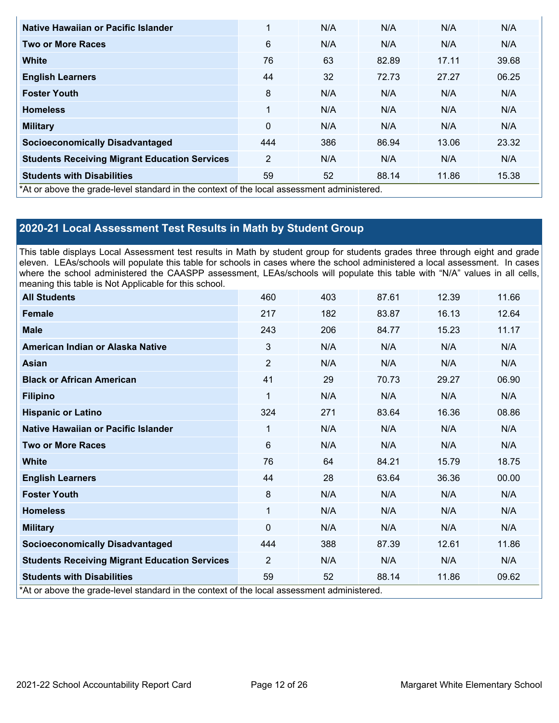| Native Hawaiian or Pacific Islander                                                        | 1              | N/A | N/A   | N/A   | N/A   |
|--------------------------------------------------------------------------------------------|----------------|-----|-------|-------|-------|
| <b>Two or More Races</b>                                                                   | 6              | N/A | N/A   | N/A   | N/A   |
| <b>White</b>                                                                               | 76             | 63  | 82.89 | 17.11 | 39.68 |
| <b>English Learners</b>                                                                    | 44             | 32  | 72.73 | 27.27 | 06.25 |
| <b>Foster Youth</b>                                                                        | 8              | N/A | N/A   | N/A   | N/A   |
| <b>Homeless</b>                                                                            | 1              | N/A | N/A   | N/A   | N/A   |
| <b>Military</b>                                                                            | $\mathbf{0}$   | N/A | N/A   | N/A   | N/A   |
| <b>Socioeconomically Disadvantaged</b>                                                     | 444            | 386 | 86.94 | 13.06 | 23.32 |
| <b>Students Receiving Migrant Education Services</b>                                       | $\overline{2}$ | N/A | N/A   | N/A   | N/A   |
| <b>Students with Disabilities</b>                                                          | 59             | 52  | 88.14 | 11.86 | 15.38 |
| *At or above the grade-level standard in the context of the local assessment administered. |                |     |       |       |       |

## **2020-21 Local Assessment Test Results in Math by Student Group**

This table displays Local Assessment test results in Math by student group for students grades three through eight and grade eleven. LEAs/schools will populate this table for schools in cases where the school administered a local assessment. In cases where the school administered the CAASPP assessment, LEAs/schools will populate this table with "N/A" values in all cells, meaning this table is Not Applicable for this school.

| <b>All Students</b>                                                                        | 460            | 403 | 87.61 | 12.39 | 11.66 |
|--------------------------------------------------------------------------------------------|----------------|-----|-------|-------|-------|
| <b>Female</b>                                                                              | 217            | 182 | 83.87 | 16.13 | 12.64 |
| <b>Male</b>                                                                                | 243            | 206 | 84.77 | 15.23 | 11.17 |
| American Indian or Alaska Native                                                           | 3              | N/A | N/A   | N/A   | N/A   |
| <b>Asian</b>                                                                               | $\overline{2}$ | N/A | N/A   | N/A   | N/A   |
| <b>Black or African American</b>                                                           | 41             | 29  | 70.73 | 29.27 | 06.90 |
| <b>Filipino</b>                                                                            | 1              | N/A | N/A   | N/A   | N/A   |
| <b>Hispanic or Latino</b>                                                                  | 324            | 271 | 83.64 | 16.36 | 08.86 |
| Native Hawaiian or Pacific Islander                                                        | 1              | N/A | N/A   | N/A   | N/A   |
| <b>Two or More Races</b>                                                                   | 6              | N/A | N/A   | N/A   | N/A   |
| <b>White</b>                                                                               | 76             | 64  | 84.21 | 15.79 | 18.75 |
| <b>English Learners</b>                                                                    | 44             | 28  | 63.64 | 36.36 | 00.00 |
| <b>Foster Youth</b>                                                                        | 8              | N/A | N/A   | N/A   | N/A   |
| <b>Homeless</b>                                                                            | 1              | N/A | N/A   | N/A   | N/A   |
| <b>Military</b>                                                                            | $\mathbf{0}$   | N/A | N/A   | N/A   | N/A   |
| <b>Socioeconomically Disadvantaged</b>                                                     | 444            | 388 | 87.39 | 12.61 | 11.86 |
| <b>Students Receiving Migrant Education Services</b>                                       | $\overline{2}$ | N/A | N/A   | N/A   | N/A   |
| <b>Students with Disabilities</b>                                                          | 59             | 52  | 88.14 | 11.86 | 09.62 |
| *At or above the grade-level standard in the context of the local assessment administered. |                |     |       |       |       |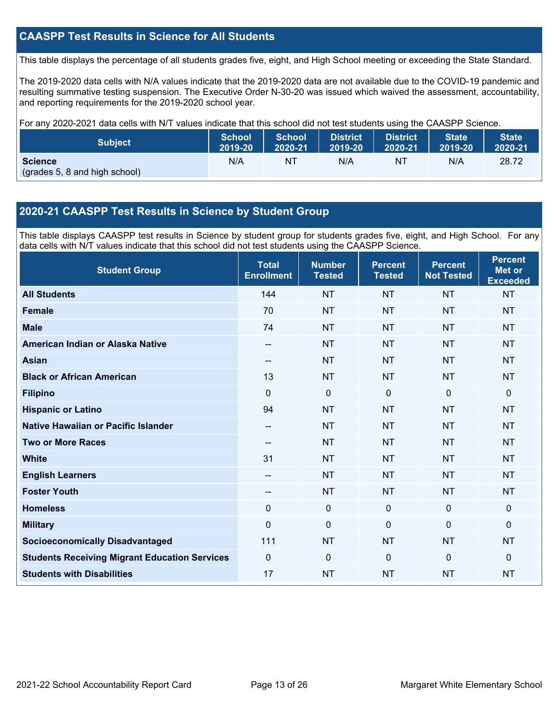## **CAASPP Test Results in Science for All Students**

This table displays the percentage of all students grades five, eight, and High School meeting or exceeding the State Standard.

The 2019-2020 data cells with N/A values indicate that the 2019-2020 data are not available due to the COVID-19 pandemic and resulting summative testing suspension. The Executive Order N-30-20 was issued which waived the assessment, accountability, and reporting requirements for the 2019-2020 school year.

For any 2020-2021 data cells with N/T values indicate that this school did not test students using the CAASPP Science.

| <b>Subject</b>                                  | <b>School</b> | <b>School</b> | <b>District</b> | <b>District</b> | State   | State <sup>1</sup> |
|-------------------------------------------------|---------------|---------------|-----------------|-----------------|---------|--------------------|
|                                                 | 2019-20       | 2020-21       | 2019-20         | 2020-21         | 2019-20 | 2020-21            |
| <b>Science</b><br>(grades 5, 8 and high school) | N/A           | ΝT            | N/A             | NT              | N/A     | 28.72              |

## **2020-21 CAASPP Test Results in Science by Student Group**

This table displays CAASPP test results in Science by student group for students grades five, eight, and High School. For any data cells with N/T values indicate that this school did not test students using the CAASPP Science.

| <b>Student Group</b>                                 | <b>Total</b><br><b>Enrollment</b> | <b>Number</b><br><b>Tested</b> | <b>Percent</b><br><b>Tested</b> | <b>Percent</b><br><b>Not Tested</b> | <b>Percent</b><br><b>Met or</b><br><b>Exceeded</b> |
|------------------------------------------------------|-----------------------------------|--------------------------------|---------------------------------|-------------------------------------|----------------------------------------------------|
| <b>All Students</b>                                  | 144                               | <b>NT</b>                      | <b>NT</b>                       | <b>NT</b>                           | <b>NT</b>                                          |
| <b>Female</b>                                        | 70                                | <b>NT</b>                      | <b>NT</b>                       | <b>NT</b>                           | <b>NT</b>                                          |
| <b>Male</b>                                          | 74                                | <b>NT</b>                      | <b>NT</b>                       | <b>NT</b>                           | <b>NT</b>                                          |
| American Indian or Alaska Native                     | $\hspace{0.05cm}$                 | <b>NT</b>                      | <b>NT</b>                       | <b>NT</b>                           | <b>NT</b>                                          |
| <b>Asian</b>                                         | $-$                               | <b>NT</b>                      | <b>NT</b>                       | <b>NT</b>                           | <b>NT</b>                                          |
| <b>Black or African American</b>                     | 13                                | <b>NT</b>                      | <b>NT</b>                       | <b>NT</b>                           | <b>NT</b>                                          |
| <b>Filipino</b>                                      | $\Omega$                          | 0                              | $\mathbf{0}$                    | $\mathbf 0$                         | $\mathbf 0$                                        |
| <b>Hispanic or Latino</b>                            | 94                                | <b>NT</b>                      | <b>NT</b>                       | <b>NT</b>                           | <b>NT</b>                                          |
| Native Hawaiian or Pacific Islander                  | $-$                               | <b>NT</b>                      | <b>NT</b>                       | <b>NT</b>                           | <b>NT</b>                                          |
| <b>Two or More Races</b>                             | --                                | <b>NT</b>                      | <b>NT</b>                       | <b>NT</b>                           | <b>NT</b>                                          |
| <b>White</b>                                         | 31                                | <b>NT</b>                      | <b>NT</b>                       | <b>NT</b>                           | <b>NT</b>                                          |
| <b>English Learners</b>                              | --                                | <b>NT</b>                      | <b>NT</b>                       | <b>NT</b>                           | <b>NT</b>                                          |
| <b>Foster Youth</b>                                  | --                                | <b>NT</b>                      | <b>NT</b>                       | <b>NT</b>                           | <b>NT</b>                                          |
| <b>Homeless</b>                                      | 0                                 | $\mathbf 0$                    | $\mathbf 0$                     | $\mathbf 0$                         | $\mathbf 0$                                        |
| <b>Military</b>                                      | 0                                 | $\Omega$                       | $\mathbf{0}$                    | $\mathbf{0}$                        | $\mathbf{0}$                                       |
| <b>Socioeconomically Disadvantaged</b>               | 111                               | <b>NT</b>                      | <b>NT</b>                       | <b>NT</b>                           | <b>NT</b>                                          |
| <b>Students Receiving Migrant Education Services</b> | $\Omega$                          | $\Omega$                       | $\Omega$                        | $\Omega$                            | $\mathbf 0$                                        |
| <b>Students with Disabilities</b>                    | 17                                | <b>NT</b>                      | <b>NT</b>                       | <b>NT</b>                           | <b>NT</b>                                          |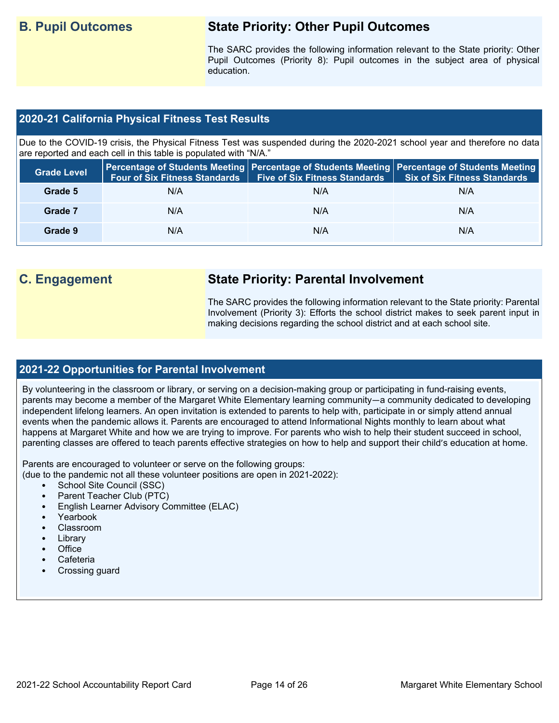## **B. Pupil Outcomes State Priority: Other Pupil Outcomes**

The SARC provides the following information relevant to the State priority: Other Pupil Outcomes (Priority 8): Pupil outcomes in the subject area of physical education.

## **2020-21 California Physical Fitness Test Results**

Due to the COVID-19 crisis, the Physical Fitness Test was suspended during the 2020-2021 school year and therefore no data are reported and each cell in this table is populated with "N/A."

| <b>Grade Level</b> | <b>Four of Six Fitness Standards</b> | Five of Six Fitness Standards   Six of Six Fitness Standards | Percentage of Students Meeting   Percentage of Students Meeting   Percentage of Students Meeting |
|--------------------|--------------------------------------|--------------------------------------------------------------|--------------------------------------------------------------------------------------------------|
| Grade 5            | N/A                                  | N/A                                                          | N/A                                                                                              |
| Grade 7            | N/A                                  | N/A                                                          | N/A                                                                                              |
| Grade 9            | N/A                                  | N/A                                                          | N/A                                                                                              |

## **C. Engagement State Priority: Parental Involvement**

The SARC provides the following information relevant to the State priority: Parental Involvement (Priority 3): Efforts the school district makes to seek parent input in making decisions regarding the school district and at each school site.

## **2021-22 Opportunities for Parental Involvement**

By volunteering in the classroom or library, or serving on a decision-making group or participating in fund-raising events, parents may become a member of the Margaret White Elementary learning community—a community dedicated to developing independent lifelong learners. An open invitation is extended to parents to help with, participate in or simply attend annual events when the pandemic allows it. Parents are encouraged to attend Informational Nights monthly to learn about what happens at Margaret White and how we are trying to improve. For parents who wish to help their student succeed in school, parenting classes are offered to teach parents effective strategies on how to help and support their child's education at home.

Parents are encouraged to volunteer or serve on the following groups:

(due to the pandemic not all these volunteer positions are open in 2021-2022):

- School Site Council (SSC)
- Parent Teacher Club (PTC)
- English Learner Advisory Committee (ELAC)
- Yearbook
- Classroom
- **Library**
- Office
- Cafeteria
- Crossing guard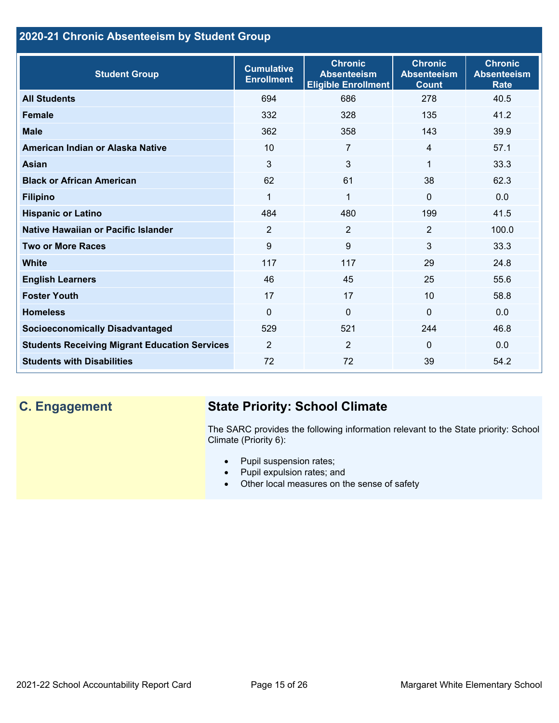## **2020-21 Chronic Absenteeism by Student Group**

| <b>Student Group</b>                                 | <b>Cumulative</b><br><b>Enrollment</b> | <b>Chronic</b><br><b>Absenteeism</b><br><b>Eligible Enrollment</b> | <b>Chronic</b><br><b>Absenteeism</b><br><b>Count</b> | <b>Chronic</b><br><b>Absenteeism</b><br><b>Rate</b> |
|------------------------------------------------------|----------------------------------------|--------------------------------------------------------------------|------------------------------------------------------|-----------------------------------------------------|
| <b>All Students</b>                                  | 694                                    | 686                                                                | 278                                                  | 40.5                                                |
| <b>Female</b>                                        | 332                                    | 328                                                                | 135                                                  | 41.2                                                |
| <b>Male</b>                                          | 362                                    | 358                                                                | 143                                                  | 39.9                                                |
| American Indian or Alaska Native                     | 10                                     | $\overline{7}$                                                     | $\overline{4}$                                       | 57.1                                                |
| <b>Asian</b>                                         | 3                                      | $\overline{3}$                                                     | 1                                                    | 33.3                                                |
| <b>Black or African American</b>                     | 62                                     | 61                                                                 | 38                                                   | 62.3                                                |
| <b>Filipino</b>                                      | 1                                      | $\mathbf{1}$                                                       | $\mathbf{0}$                                         | 0.0                                                 |
| <b>Hispanic or Latino</b>                            | 484                                    | 480                                                                | 199                                                  | 41.5                                                |
| Native Hawaiian or Pacific Islander                  | $\overline{2}$                         | $\overline{2}$                                                     | $\overline{2}$                                       | 100.0                                               |
| <b>Two or More Races</b>                             | 9                                      | 9                                                                  | 3                                                    | 33.3                                                |
| White                                                | 117                                    | 117                                                                | 29                                                   | 24.8                                                |
| <b>English Learners</b>                              | 46                                     | 45                                                                 | 25                                                   | 55.6                                                |
| <b>Foster Youth</b>                                  | 17                                     | 17                                                                 | 10 <sup>1</sup>                                      | 58.8                                                |
| <b>Homeless</b>                                      | $\Omega$                               | 0                                                                  | $\Omega$                                             | 0.0                                                 |
| <b>Socioeconomically Disadvantaged</b>               | 529                                    | 521                                                                | 244                                                  | 46.8                                                |
| <b>Students Receiving Migrant Education Services</b> | 2                                      | 2                                                                  | $\Omega$                                             | 0.0                                                 |
| <b>Students with Disabilities</b>                    | 72                                     | 72                                                                 | 39                                                   | 54.2                                                |

## **C. Engagement State Priority: School Climate**

The SARC provides the following information relevant to the State priority: School Climate (Priority 6):

- Pupil suspension rates;
- Pupil expulsion rates; and
- Other local measures on the sense of safety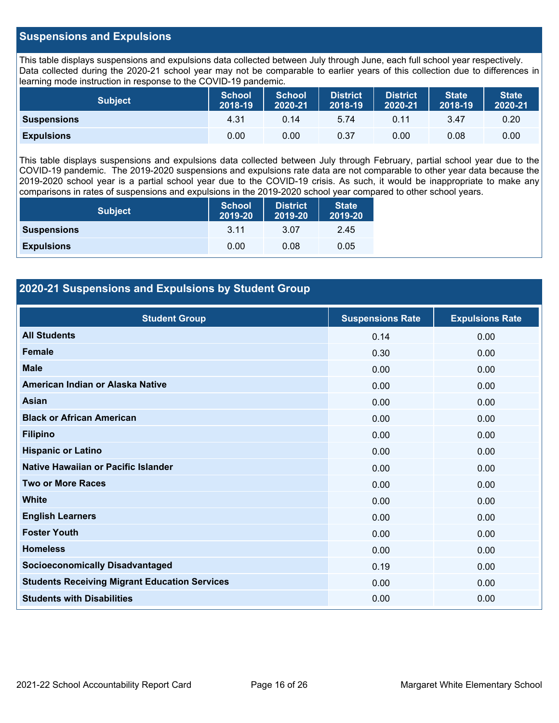## **Suspensions and Expulsions**

This table displays suspensions and expulsions data collected between July through June, each full school year respectively. Data collected during the 2020-21 school year may not be comparable to earlier years of this collection due to differences in learning mode instruction in response to the COVID-19 pandemic.

| <b>Subject</b>     | <b>School</b><br>2018-19 | <b>School</b><br>2020-21 | <b>District</b><br>2018-19 | District<br>2020-21 | <b>State</b><br>2018-19 | <b>State</b><br>2020-21 |
|--------------------|--------------------------|--------------------------|----------------------------|---------------------|-------------------------|-------------------------|
| <b>Suspensions</b> | 4.31                     | 0.14                     | 5.74                       | 0.11                | 3.47                    | 0.20                    |
| <b>Expulsions</b>  | 0.00                     | 0.00                     | 0.37                       | 0.00                | 0.08                    | 0.00                    |

This table displays suspensions and expulsions data collected between July through February, partial school year due to the COVID-19 pandemic. The 2019-2020 suspensions and expulsions rate data are not comparable to other year data because the 2019-2020 school year is a partial school year due to the COVID-19 crisis. As such, it would be inappropriate to make any comparisons in rates of suspensions and expulsions in the 2019-2020 school year compared to other school years.

| <b>Subject</b>     | <b>School</b><br>2019-20 | <b>District</b><br>2019-20 | <b>State</b><br>2019-20 |
|--------------------|--------------------------|----------------------------|-------------------------|
| <b>Suspensions</b> | 3.11                     | 3.07                       | 2.45                    |
| <b>Expulsions</b>  | 0.00                     | 0.08                       | 0.05                    |

## **2020-21 Suspensions and Expulsions by Student Group**

| <b>Student Group</b>                                 | <b>Suspensions Rate</b> | <b>Expulsions Rate</b> |
|------------------------------------------------------|-------------------------|------------------------|
| <b>All Students</b>                                  | 0.14                    | 0.00                   |
| <b>Female</b>                                        | 0.30                    | 0.00                   |
| <b>Male</b>                                          | 0.00                    | 0.00                   |
| American Indian or Alaska Native                     | 0.00                    | 0.00                   |
| <b>Asian</b>                                         | 0.00                    | 0.00                   |
| <b>Black or African American</b>                     | 0.00                    | 0.00                   |
| <b>Filipino</b>                                      | 0.00                    | 0.00                   |
| <b>Hispanic or Latino</b>                            | 0.00                    | 0.00                   |
| Native Hawaiian or Pacific Islander                  | 0.00                    | 0.00                   |
| <b>Two or More Races</b>                             | 0.00                    | 0.00                   |
| <b>White</b>                                         | 0.00                    | 0.00                   |
| <b>English Learners</b>                              | 0.00                    | 0.00                   |
| <b>Foster Youth</b>                                  | 0.00                    | 0.00                   |
| <b>Homeless</b>                                      | 0.00                    | 0.00                   |
| <b>Socioeconomically Disadvantaged</b>               | 0.19                    | 0.00                   |
| <b>Students Receiving Migrant Education Services</b> | 0.00                    | 0.00                   |
| <b>Students with Disabilities</b>                    | 0.00                    | 0.00                   |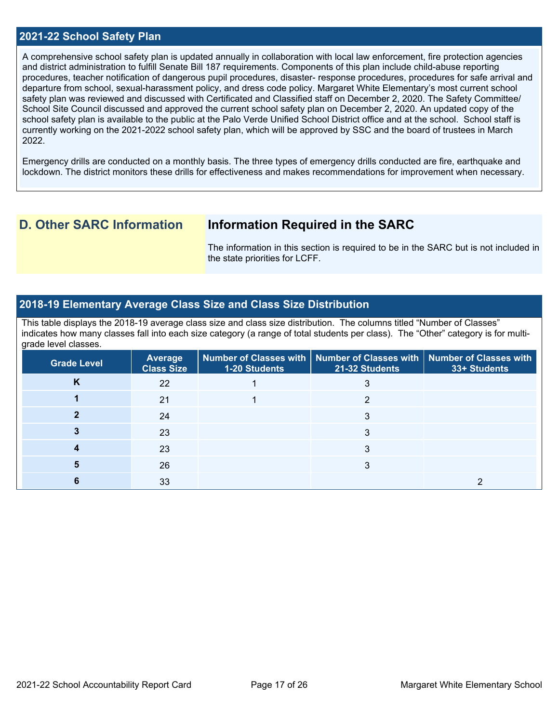### **2021-22 School Safety Plan**

A comprehensive school safety plan is updated annually in collaboration with local law enforcement, fire protection agencies and district administration to fulfill Senate Bill 187 requirements. Components of this plan include child-abuse reporting procedures, teacher notification of dangerous pupil procedures, disaster- response procedures, procedures for safe arrival and departure from school, sexual-harassment policy, and dress code policy. Margaret White Elementary's most current school safety plan was reviewed and discussed with Certificated and Classified staff on December 2, 2020. The Safety Committee/ School Site Council discussed and approved the current school safety plan on December 2, 2020. An updated copy of the school safety plan is available to the public at the Palo Verde Unified School District office and at the school. School staff is currently working on the 2021-2022 school safety plan, which will be approved by SSC and the board of trustees in March 2022.

Emergency drills are conducted on a monthly basis. The three types of emergency drills conducted are fire, earthquake and lockdown. The district monitors these drills for effectiveness and makes recommendations for improvement when necessary.

## **D. Other SARC Information Information Required in the SARC**

The information in this section is required to be in the SARC but is not included in the state priorities for LCFF.

### **2018-19 Elementary Average Class Size and Class Size Distribution**

This table displays the 2018-19 average class size and class size distribution. The columns titled "Number of Classes" indicates how many classes fall into each size category (a range of total students per class). The "Other" category is for multigrade level classes.

| <b>Grade Level</b> | <b>Average</b><br><b>Class Size</b> | <b>1-20 Students</b> | Number of Classes with   Number of Classes with   Number of Classes with<br>21-32 Students | 33+ Students |
|--------------------|-------------------------------------|----------------------|--------------------------------------------------------------------------------------------|--------------|
| Κ                  | 22                                  |                      |                                                                                            |              |
|                    | 21                                  |                      |                                                                                            |              |
|                    | 24                                  |                      |                                                                                            |              |
|                    | 23                                  |                      |                                                                                            |              |
|                    | 23                                  |                      |                                                                                            |              |
|                    | 26                                  |                      |                                                                                            |              |
|                    | 33                                  |                      |                                                                                            |              |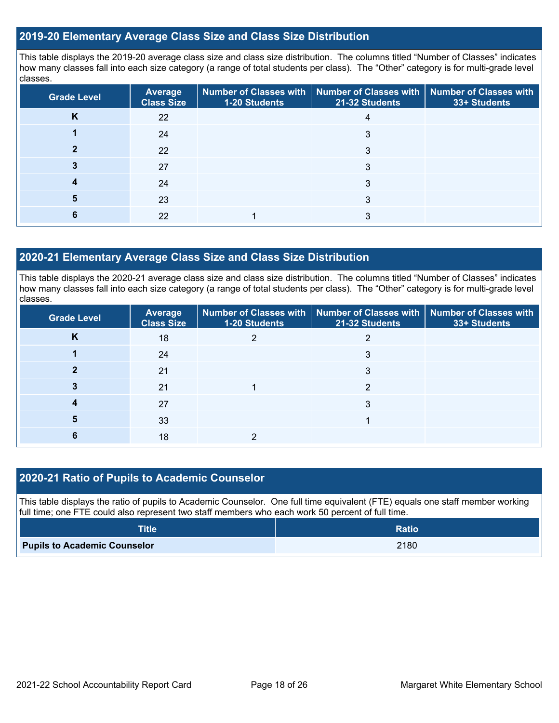## **2019-20 Elementary Average Class Size and Class Size Distribution**

This table displays the 2019-20 average class size and class size distribution. The columns titled "Number of Classes" indicates how many classes fall into each size category (a range of total students per class). The "Other" category is for multi-grade level classes.

| <b>Grade Level</b> | Average<br><b>Class Size</b> | 1-20 Students | Number of Classes with   Number of Classes with   Number of Classes with<br>21-32 Students | 33+ Students |
|--------------------|------------------------------|---------------|--------------------------------------------------------------------------------------------|--------------|
| K                  | 22                           |               | 4                                                                                          |              |
|                    | 24                           |               | 3                                                                                          |              |
|                    | 22                           |               |                                                                                            |              |
|                    | 27                           |               | 3                                                                                          |              |
|                    | 24                           |               | 3                                                                                          |              |
|                    | 23                           |               |                                                                                            |              |
|                    | 22                           |               |                                                                                            |              |

## **2020-21 Elementary Average Class Size and Class Size Distribution**

This table displays the 2020-21 average class size and class size distribution. The columns titled "Number of Classes" indicates how many classes fall into each size category (a range of total students per class). The "Other" category is for multi-grade level classes.

| <b>Grade Level</b> | <b>Average</b><br><b>Class Size</b> | 1-20 Students | Number of Classes with   Number of Classes with   Number of Classes with<br>21-32 Students | 33+ Students |
|--------------------|-------------------------------------|---------------|--------------------------------------------------------------------------------------------|--------------|
| N                  | 18                                  |               |                                                                                            |              |
|                    | 24                                  |               |                                                                                            |              |
|                    | 21                                  |               | 3                                                                                          |              |
|                    | 21                                  |               |                                                                                            |              |
|                    | 27                                  |               | 3                                                                                          |              |
|                    | 33                                  |               |                                                                                            |              |
|                    | 18                                  |               |                                                                                            |              |

## **2020-21 Ratio of Pupils to Academic Counselor**

This table displays the ratio of pupils to Academic Counselor. One full time equivalent (FTE) equals one staff member working full time; one FTE could also represent two staff members who each work 50 percent of full time.

| <b>Title</b>                        | <b>Ratio</b> |
|-------------------------------------|--------------|
| <b>Pupils to Academic Counselor</b> | 2180         |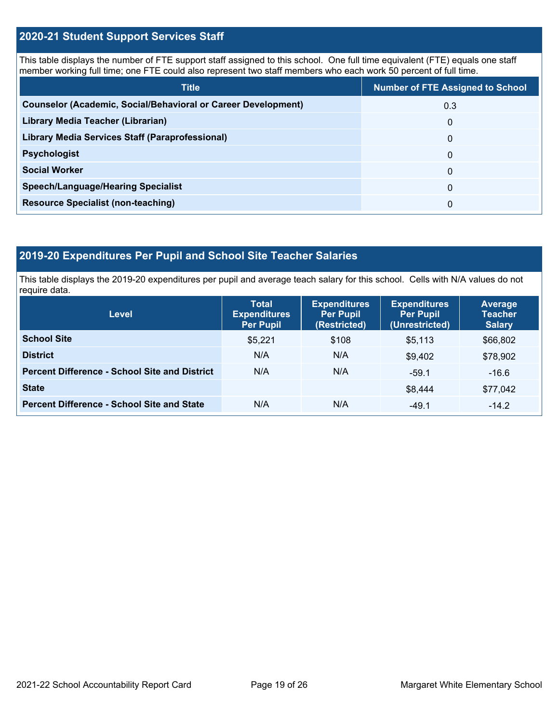## **2020-21 Student Support Services Staff**

This table displays the number of FTE support staff assigned to this school. One full time equivalent (FTE) equals one staff member working full time; one FTE could also represent two staff members who each work 50 percent of full time.

| <b>Title</b>                                                         | <b>Number of FTE Assigned to School</b> |  |  |
|----------------------------------------------------------------------|-----------------------------------------|--|--|
| <b>Counselor (Academic, Social/Behavioral or Career Development)</b> | 0.3                                     |  |  |
| Library Media Teacher (Librarian)                                    | $\mathbf 0$                             |  |  |
| <b>Library Media Services Staff (Paraprofessional)</b>               | 0                                       |  |  |
| <b>Psychologist</b>                                                  | 0                                       |  |  |
| <b>Social Worker</b>                                                 | $\Omega$                                |  |  |
| <b>Speech/Language/Hearing Specialist</b>                            | $\Omega$                                |  |  |
| <b>Resource Specialist (non-teaching)</b>                            | 0                                       |  |  |

## **2019-20 Expenditures Per Pupil and School Site Teacher Salaries**

This table displays the 2019-20 expenditures per pupil and average teach salary for this school. Cells with N/A values do not require data.

| <b>Level</b>                                         | <b>Total</b><br><b>Expenditures</b><br><b>Per Pupil</b> | <b>Expenditures</b><br><b>Per Pupil</b><br>(Restricted) | <b>Expenditures</b><br><b>Per Pupil</b><br>(Unrestricted) | <b>Average</b><br><b>Teacher</b><br><b>Salary</b> |
|------------------------------------------------------|---------------------------------------------------------|---------------------------------------------------------|-----------------------------------------------------------|---------------------------------------------------|
| <b>School Site</b>                                   | \$5,221                                                 | \$108                                                   | \$5,113                                                   | \$66,802                                          |
| <b>District</b>                                      | N/A                                                     | N/A                                                     | \$9.402                                                   | \$78,902                                          |
| <b>Percent Difference - School Site and District</b> | N/A                                                     | N/A                                                     | $-59.1$                                                   | $-16.6$                                           |
| <b>State</b>                                         |                                                         |                                                         | \$8,444                                                   | \$77,042                                          |
| <b>Percent Difference - School Site and State</b>    | N/A                                                     | N/A                                                     | $-49.1$                                                   | $-14.2$                                           |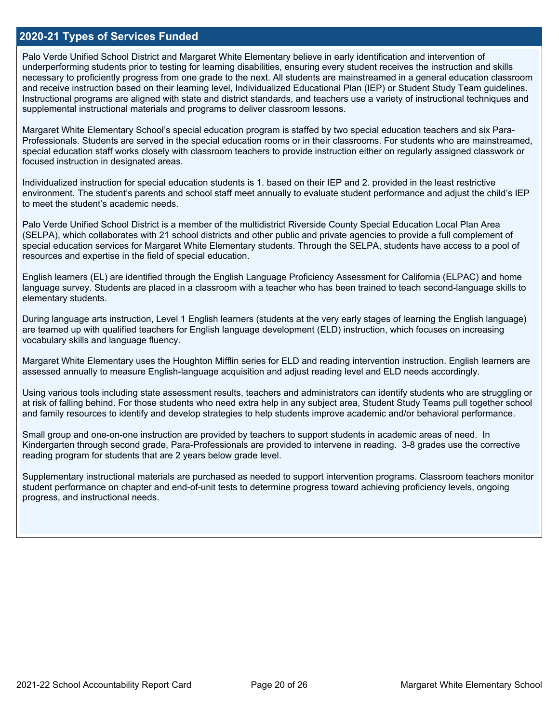### **2020-21 Types of Services Funded**

Palo Verde Unified School District and Margaret White Elementary believe in early identification and intervention of underperforming students prior to testing for learning disabilities, ensuring every student receives the instruction and skills necessary to proficiently progress from one grade to the next. All students are mainstreamed in a general education classroom and receive instruction based on their learning level, Individualized Educational Plan (IEP) or Student Study Team guidelines. Instructional programs are aligned with state and district standards, and teachers use a variety of instructional techniques and supplemental instructional materials and programs to deliver classroom lessons.

Margaret White Elementary School's special education program is staffed by two special education teachers and six Para-Professionals. Students are served in the special education rooms or in their classrooms. For students who are mainstreamed, special education staff works closely with classroom teachers to provide instruction either on regularly assigned classwork or focused instruction in designated areas.

Individualized instruction for special education students is 1. based on their IEP and 2. provided in the least restrictive environment. The student's parents and school staff meet annually to evaluate student performance and adjust the child's IEP to meet the student's academic needs.

Palo Verde Unified School District is a member of the multidistrict Riverside County Special Education Local Plan Area (SELPA), which collaborates with 21 school districts and other public and private agencies to provide a full complement of special education services for Margaret White Elementary students. Through the SELPA, students have access to a pool of resources and expertise in the field of special education.

English learners (EL) are identified through the English Language Proficiency Assessment for California (ELPAC) and home language survey. Students are placed in a classroom with a teacher who has been trained to teach second-language skills to elementary students.

During language arts instruction, Level 1 English learners (students at the very early stages of learning the English language) are teamed up with qualified teachers for English language development (ELD) instruction, which focuses on increasing vocabulary skills and language fluency.

Margaret White Elementary uses the Houghton Mifflin series for ELD and reading intervention instruction. English learners are assessed annually to measure English-language acquisition and adjust reading level and ELD needs accordingly.

Using various tools including state assessment results, teachers and administrators can identify students who are struggling or at risk of falling behind. For those students who need extra help in any subject area, Student Study Teams pull together school and family resources to identify and develop strategies to help students improve academic and/or behavioral performance.

Small group and one-on-one instruction are provided by teachers to support students in academic areas of need. In Kindergarten through second grade, Para-Professionals are provided to intervene in reading. 3-8 grades use the corrective reading program for students that are 2 years below grade level.

Supplementary instructional materials are purchased as needed to support intervention programs. Classroom teachers monitor student performance on chapter and end-of-unit tests to determine progress toward achieving proficiency levels, ongoing progress, and instructional needs.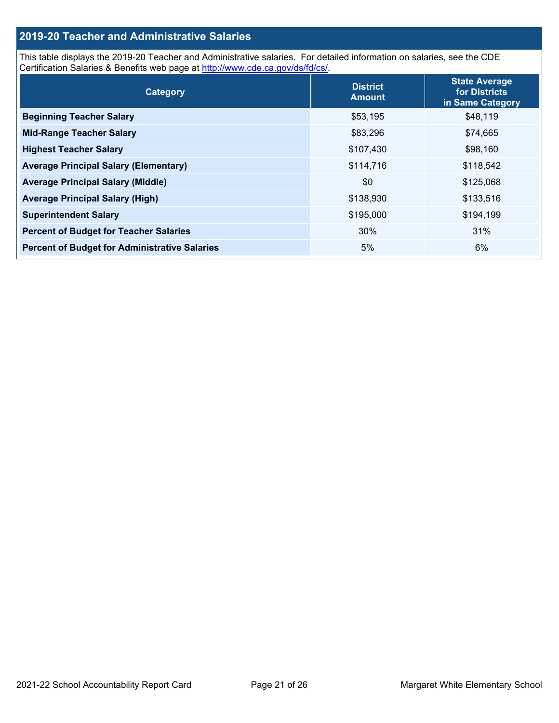## **2019-20 Teacher and Administrative Salaries**

This table displays the 2019-20 Teacher and Administrative salaries. For detailed information on salaries, see the CDE Certification Salaries & Benefits web page at<http://www.cde.ca.gov/ds/fd/cs/>.

| Category                                             | <b>District</b><br><b>Amount</b> | <b>State Average</b><br>for Districts<br>in Same Category |
|------------------------------------------------------|----------------------------------|-----------------------------------------------------------|
| <b>Beginning Teacher Salary</b>                      | \$53,195                         | \$48,119                                                  |
| <b>Mid-Range Teacher Salary</b>                      | \$83,296                         | \$74,665                                                  |
| <b>Highest Teacher Salary</b>                        | \$107,430                        | \$98,160                                                  |
| <b>Average Principal Salary (Elementary)</b>         | \$114,716                        | \$118,542                                                 |
| <b>Average Principal Salary (Middle)</b>             | \$0                              | \$125,068                                                 |
| <b>Average Principal Salary (High)</b>               | \$138,930                        | \$133,516                                                 |
| <b>Superintendent Salary</b>                         | \$195,000                        | \$194,199                                                 |
| <b>Percent of Budget for Teacher Salaries</b>        | 30%                              | 31%                                                       |
| <b>Percent of Budget for Administrative Salaries</b> | 5%                               | 6%                                                        |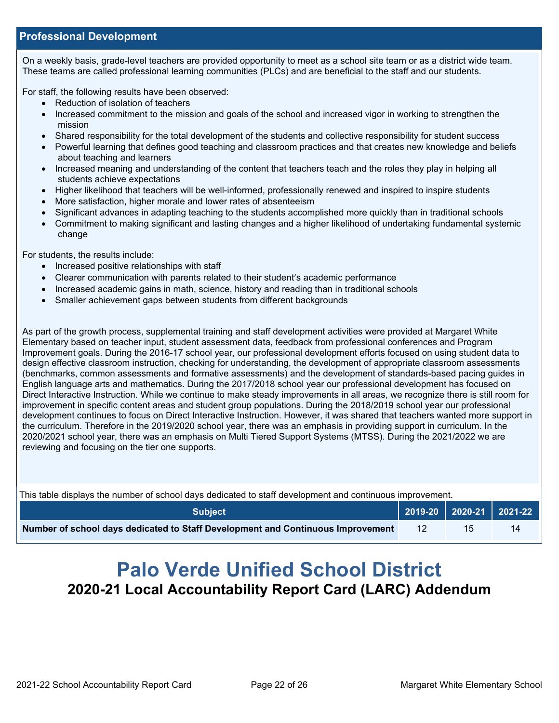## **Professional Development**

On a weekly basis, grade-level teachers are provided opportunity to meet as a school site team or as a district wide team. These teams are called professional learning communities (PLCs) and are beneficial to the staff and our students.

For staff, the following results have been observed:

- Reduction of isolation of teachers
- Increased commitment to the mission and goals of the school and increased vigor in working to strengthen the mission
- Shared responsibility for the total development of the students and collective responsibility for student success
- Powerful learning that defines good teaching and classroom practices and that creates new knowledge and beliefs about teaching and learners
- Increased meaning and understanding of the content that teachers teach and the roles they play in helping all students achieve expectations
- Higher likelihood that teachers will be well-informed, professionally renewed and inspired to inspire students
- More satisfaction, higher morale and lower rates of absenteeism
- Significant advances in adapting teaching to the students accomplished more quickly than in traditional schools
- Commitment to making significant and lasting changes and a higher likelihood of undertaking fundamental systemic change

For students, the results include:

- Increased positive relationships with staff
- Clearer communication with parents related to their student's academic performance
- Increased academic gains in math, science, history and reading than in traditional schools
- Smaller achievement gaps between students from different backgrounds

As part of the growth process, supplemental training and staff development activities were provided at Margaret White Elementary based on teacher input, student assessment data, feedback from professional conferences and Program Improvement goals. During the 2016-17 school year, our professional development efforts focused on using student data to design effective classroom instruction, checking for understanding, the development of appropriate classroom assessments (benchmarks, common assessments and formative assessments) and the development of standards-based pacing guides in English language arts and mathematics. During the 2017/2018 school year our professional development has focused on Direct Interactive Instruction. While we continue to make steady improvements in all areas, we recognize there is still room for improvement in specific content areas and student group populations. During the 2018/2019 school year our professional development continues to focus on Direct Interactive Instruction. However, it was shared that teachers wanted more support in the curriculum. Therefore in the 2019/2020 school year, there was an emphasis in providing support in curriculum. In the 2020/2021 school year, there was an emphasis on Multi Tiered Support Systems (MTSS). During the 2021/2022 we are reviewing and focusing on the tier one supports.

| This table displays the number of school days dedicated to staff development and continuous improvement. |     |    |    |  |  |
|----------------------------------------------------------------------------------------------------------|-----|----|----|--|--|
| $\vert$ 2019-20 2020-21 2021-22<br><b>Subject</b>                                                        |     |    |    |  |  |
| Number of school days dedicated to Staff Development and Continuous Improvement                          | -12 | 15 | 14 |  |  |

# **Palo Verde Unified School District 2020-21 Local Accountability Report Card (LARC) Addendum**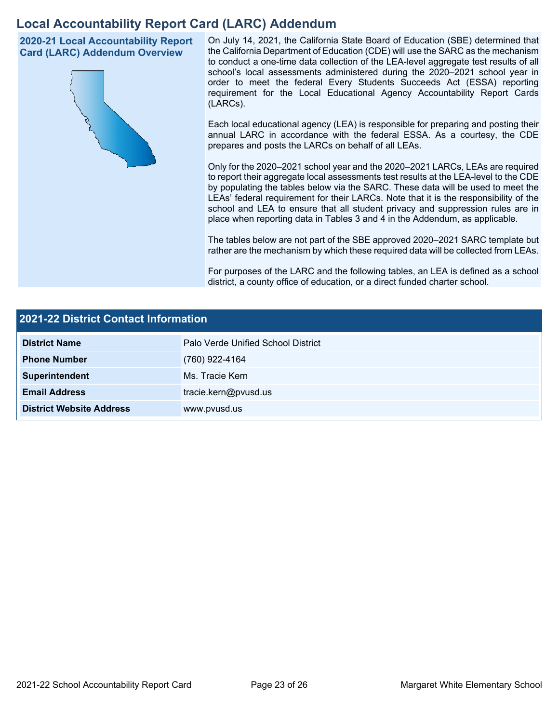## **Local Accountability Report Card (LARC) Addendum**

**2020-21 Local Accountability Report Card (LARC) Addendum Overview**



On July 14, 2021, the California State Board of Education (SBE) determined that the California Department of Education (CDE) will use the SARC as the mechanism to conduct a one-time data collection of the LEA-level aggregate test results of all school's local assessments administered during the 2020–2021 school year in order to meet the federal Every Students Succeeds Act (ESSA) reporting requirement for the Local Educational Agency Accountability Report Cards (LARCs).

Each local educational agency (LEA) is responsible for preparing and posting their annual LARC in accordance with the federal ESSA. As a courtesy, the CDE prepares and posts the LARCs on behalf of all LEAs.

Only for the 2020–2021 school year and the 2020–2021 LARCs, LEAs are required to report their aggregate local assessments test results at the LEA-level to the CDE by populating the tables below via the SARC. These data will be used to meet the LEAs' federal requirement for their LARCs. Note that it is the responsibility of the school and LEA to ensure that all student privacy and suppression rules are in place when reporting data in Tables 3 and 4 in the Addendum, as applicable.

The tables below are not part of the SBE approved 2020–2021 SARC template but rather are the mechanism by which these required data will be collected from LEAs.

For purposes of the LARC and the following tables, an LEA is defined as a school district, a county office of education, or a direct funded charter school.

| 2021-22 District Contact Information |                                    |  |  |
|--------------------------------------|------------------------------------|--|--|
| <b>District Name</b>                 | Palo Verde Unified School District |  |  |
| <b>Phone Number</b>                  | (760) 922-4164                     |  |  |
| Superintendent                       | Ms. Tracie Kern                    |  |  |
| <b>Email Address</b>                 | tracie.kern@pvusd.us               |  |  |
| <b>District Website Address</b>      | www.pvusd.us                       |  |  |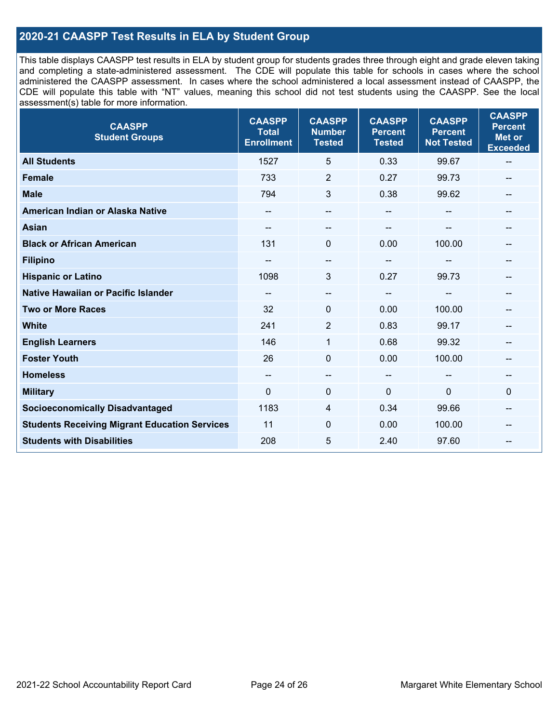## **2020-21 CAASPP Test Results in ELA by Student Group**

This table displays CAASPP test results in ELA by student group for students grades three through eight and grade eleven taking and completing a state-administered assessment. The CDE will populate this table for schools in cases where the school administered the CAASPP assessment. In cases where the school administered a local assessment instead of CAASPP, the CDE will populate this table with "NT" values, meaning this school did not test students using the CAASPP. See the local assessment(s) table for more information.

| <b>CAASPP</b><br><b>Student Groups</b>               | <b>CAASPP</b><br><b>Total</b><br><b>Enrollment</b> | <b>CAASPP</b><br><b>Number</b><br><b>Tested</b> | <b>CAASPP</b><br><b>Percent</b><br><b>Tested</b> | <b>CAASPP</b><br><b>Percent</b><br><b>Not Tested</b> | <b>CAASPP</b><br><b>Percent</b><br><b>Met or</b><br><b>Exceeded</b> |
|------------------------------------------------------|----------------------------------------------------|-------------------------------------------------|--------------------------------------------------|------------------------------------------------------|---------------------------------------------------------------------|
| <b>All Students</b>                                  | 1527                                               | 5                                               | 0.33                                             | 99.67                                                | $\overline{\phantom{m}}$                                            |
| <b>Female</b>                                        | 733                                                | $\overline{2}$                                  | 0.27                                             | 99.73                                                |                                                                     |
| <b>Male</b>                                          | 794                                                | 3                                               | 0.38                                             | 99.62                                                | --                                                                  |
| American Indian or Alaska Native                     | --                                                 | $\qquad \qquad -$                               | --                                               | --                                                   | --                                                                  |
| <b>Asian</b>                                         |                                                    |                                                 |                                                  |                                                      |                                                                     |
| <b>Black or African American</b>                     | 131                                                | 0                                               | 0.00                                             | 100.00                                               |                                                                     |
| <b>Filipino</b>                                      |                                                    | $\qquad \qquad -$                               | $- -$                                            |                                                      |                                                                     |
| <b>Hispanic or Latino</b>                            | 1098                                               | 3                                               | 0.27                                             | 99.73                                                |                                                                     |
| <b>Native Hawaiian or Pacific Islander</b>           | --                                                 | $\overline{\phantom{m}}$                        | $\overline{\phantom{a}}$                         | --                                                   |                                                                     |
| <b>Two or More Races</b>                             | 32                                                 | 0                                               | 0.00                                             | 100.00                                               |                                                                     |
| <b>White</b>                                         | 241                                                | 2                                               | 0.83                                             | 99.17                                                | $-$                                                                 |
| <b>English Learners</b>                              | 146                                                | $\mathbf{1}$                                    | 0.68                                             | 99.32                                                |                                                                     |
| <b>Foster Youth</b>                                  | 26                                                 | 0                                               | 0.00                                             | 100.00                                               |                                                                     |
| <b>Homeless</b>                                      | $\overline{\phantom{m}}$                           | $\qquad \qquad -$                               | $\overline{\phantom{a}}$                         | $\qquad \qquad \qquad -$                             | $\hspace{0.05cm}$                                                   |
| <b>Military</b>                                      | $\mathbf 0$                                        | 0                                               | $\mathbf 0$                                      | 0                                                    | 0                                                                   |
| <b>Socioeconomically Disadvantaged</b>               | 1183                                               | 4                                               | 0.34                                             | 99.66                                                | --                                                                  |
| <b>Students Receiving Migrant Education Services</b> | 11                                                 | $\Omega$                                        | 0.00                                             | 100.00                                               |                                                                     |
| <b>Students with Disabilities</b>                    | 208                                                | 5                                               | 2.40                                             | 97.60                                                |                                                                     |